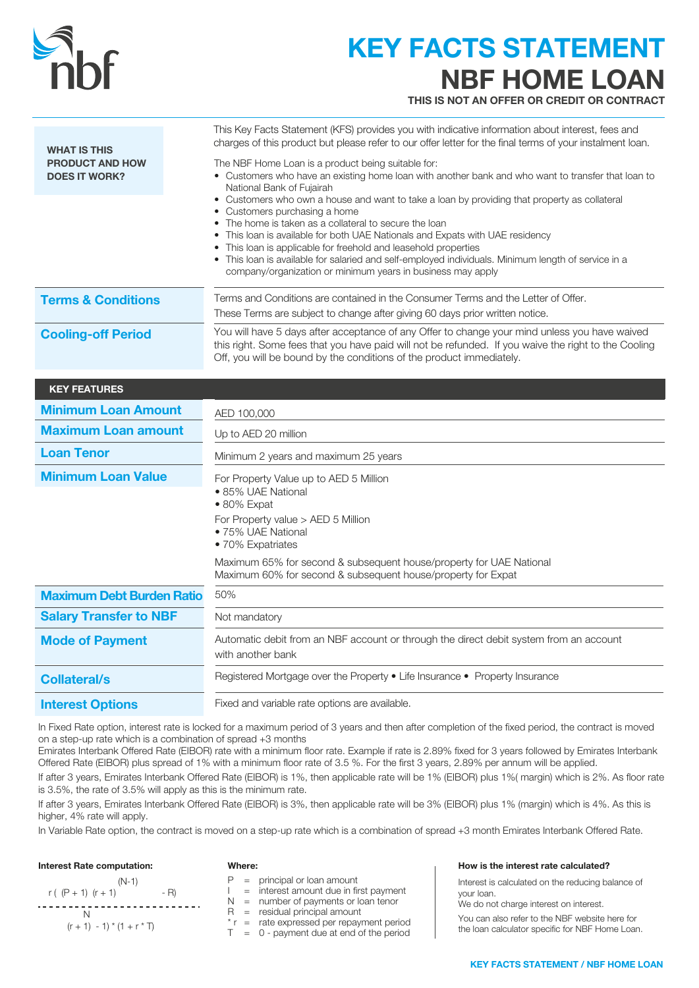

# KEY FACTS STATEMENT NBF HOME LOAN

THIS IS NOT AN OFFER OR CREDIT OR CONTRACT

| <b>WHAT IS THIS</b>                            | This Key Facts Statement (KFS) provides you with indicative information about interest, fees and<br>charges of this product but please refer to our offer letter for the final terms of your instalment loan.                                                                                                                                                                                                                                                                                                     |  |
|------------------------------------------------|-------------------------------------------------------------------------------------------------------------------------------------------------------------------------------------------------------------------------------------------------------------------------------------------------------------------------------------------------------------------------------------------------------------------------------------------------------------------------------------------------------------------|--|
| <b>PRODUCT AND HOW</b><br><b>DOES IT WORK?</b> | The NBF Home Loan is a product being suitable for:<br>• Customers who have an existing home loan with another bank and who want to transfer that loan to<br>National Bank of Fujairah                                                                                                                                                                                                                                                                                                                             |  |
|                                                | • Customers who own a house and want to take a loan by providing that property as collateral<br>• Customers purchasing a home<br>• The home is taken as a collateral to secure the loan<br>• This loan is available for both UAE Nationals and Expats with UAE residency<br>• This loan is applicable for freehold and leasehold properties<br>• This loan is available for salaried and self-employed individuals. Minimum length of service in a<br>company/organization or minimum years in business may apply |  |
| <b>Terms &amp; Conditions</b>                  | Terms and Conditions are contained in the Consumer Terms and the Letter of Offer.<br>These Terms are subject to change after giving 60 days prior written notice.                                                                                                                                                                                                                                                                                                                                                 |  |
| <b>Cooling-off Period</b>                      | You will have 5 days after acceptance of any Offer to change your mind unless you have waived<br>this right. Some fees that you have paid will not be refunded. If you waive the right to the Cooling<br>Off, you will be bound by the conditions of the product immediately.                                                                                                                                                                                                                                     |  |
| <b>KEY FEATURES</b>                            |                                                                                                                                                                                                                                                                                                                                                                                                                                                                                                                   |  |
| <b>Minimum Loan Amount</b>                     | AED 100,000                                                                                                                                                                                                                                                                                                                                                                                                                                                                                                       |  |
| <b>Maximum Loan amount</b>                     | Up to AED 20 million                                                                                                                                                                                                                                                                                                                                                                                                                                                                                              |  |
| <b>Loan Tenor</b>                              | Minimum 2 years and maximum 25 years                                                                                                                                                                                                                                                                                                                                                                                                                                                                              |  |
| <b>Minimum Loan Value</b>                      | For Property Value up to AED 5 Million<br>• 85% UAE National<br>$\bullet$ 80% Expat<br>For Property value > AED 5 Million<br>• 75% UAE National<br>• 70% Expatriates                                                                                                                                                                                                                                                                                                                                              |  |
|                                                | Maximum 65% for second & subsequent house/property for UAE National<br>Maximum 60% for second & subsequent house/property for Expat                                                                                                                                                                                                                                                                                                                                                                               |  |
| <b>Maximum Debt Burden Ratio</b>               | 50%                                                                                                                                                                                                                                                                                                                                                                                                                                                                                                               |  |
| <b>Salary Transfer to NBF</b>                  | Not mandatory                                                                                                                                                                                                                                                                                                                                                                                                                                                                                                     |  |
| <b>Mode of Payment</b>                         | Automatic debit from an NBF account or through the direct debit system from an account<br>with another bank                                                                                                                                                                                                                                                                                                                                                                                                       |  |
| <b>Collateral/s</b>                            | Registered Mortgage over the Property . Life Insurance . Property Insurance                                                                                                                                                                                                                                                                                                                                                                                                                                       |  |
| <b>Interest Options</b>                        | Fixed and variable rate options are available.                                                                                                                                                                                                                                                                                                                                                                                                                                                                    |  |

In Fixed Rate option, interest rate is locked for a maximum period of 3 years and then after completion of the fixed period, the contract is moved on a step-up rate which is a combination of spread +3 months

Emirates Interbank Offered Rate (EIBOR) rate with a minimum floor rate. Example if rate is 2.89% fixed for 3 years followed by Emirates Interbank Offered Rate (EIBOR) plus spread of 1% with a minimum floor rate of 3.5 %. For the first 3 years, 2.89% per annum will be applied.

If after 3 years, Emirates Interbank Offered Rate (EIBOR) is 1%, then applicable rate will be 1% (EIBOR) plus 1%( margin) which is 2%. As floor rate is 3.5%, the rate of 3.5% will apply as this is the minimum rate.

If after 3 years, Emirates Interbank Offered Rate (EIBOR) is 3%, then applicable rate will be 3% (EIBOR) plus 1% (margin) which is 4%. As this is higher, 4% rate will apply.

In Variable Rate option, the contract is moved on a step-up rate which is a combination of spread +3 month Emirates Interbank Offered Rate.

### Interest Rate computation:

N

r (  $(P + 1)$   $(r + 1)$  - R)

 $(r + 1) - 1$  \*  $(1 + r * T)$ 

| putation. |  |
|-----------|--|
| $(N-1)$   |  |

 $P =$  principal or loan amount

Where:

#### I = interest amount due in first payment N = number of payments or loan tenor R = residual principal amount

 $* r =$  rate expressed per repayment period

 $T = 0$  - payment due at end of the period

#### How is the interest rate calculated?

Interest is calculated on the reducing balance of your loan.

We do not charge interest on interest.

You can also refer to the NBF website here for the loan calculator specific for NBF Home Loan.

### KEY FACTS STATEMENT / NBF HOME LOAN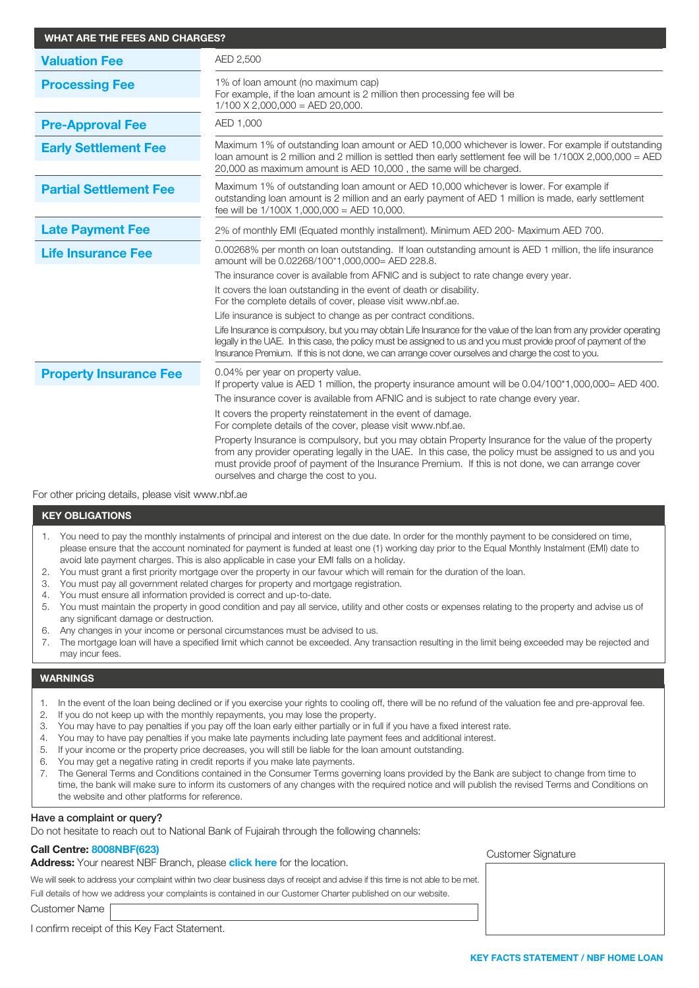| <b>WHAT ARE THE FEES AND CHARGES?</b> |                                                                                                                                                                                                                                                                                                                                                                                                                                                                                                                                                                                                                                                                                                                                                                                                                  |  |
|---------------------------------------|------------------------------------------------------------------------------------------------------------------------------------------------------------------------------------------------------------------------------------------------------------------------------------------------------------------------------------------------------------------------------------------------------------------------------------------------------------------------------------------------------------------------------------------------------------------------------------------------------------------------------------------------------------------------------------------------------------------------------------------------------------------------------------------------------------------|--|
| <b>Valuation Fee</b>                  | AED 2,500                                                                                                                                                                                                                                                                                                                                                                                                                                                                                                                                                                                                                                                                                                                                                                                                        |  |
| <b>Processing Fee</b>                 | 1% of loan amount (no maximum cap)<br>For example, if the loan amount is 2 million then processing fee will be<br>$1/100$ X 2,000,000 = AED 20,000.                                                                                                                                                                                                                                                                                                                                                                                                                                                                                                                                                                                                                                                              |  |
| <b>Pre-Approval Fee</b>               | AED 1,000                                                                                                                                                                                                                                                                                                                                                                                                                                                                                                                                                                                                                                                                                                                                                                                                        |  |
| <b>Early Settlement Fee</b>           | Maximum 1% of outstanding loan amount or AED 10,000 whichever is lower. For example if outstanding<br>loan amount is 2 million and 2 million is settled then early settlement fee will be 1/100X 2,000,000 = AED<br>20,000 as maximum amount is AED 10,000, the same will be charged.                                                                                                                                                                                                                                                                                                                                                                                                                                                                                                                            |  |
| <b>Partial Settlement Fee</b>         | Maximum 1% of outstanding loan amount or AED 10,000 whichever is lower. For example if<br>outstanding loan amount is 2 million and an early payment of AED 1 million is made, early settlement<br>fee will be $1/100X$ 1,000,000 = AED 10,000.                                                                                                                                                                                                                                                                                                                                                                                                                                                                                                                                                                   |  |
| <b>Late Payment Fee</b>               | 2% of monthly EMI (Equated monthly installment). Minimum AED 200- Maximum AED 700.                                                                                                                                                                                                                                                                                                                                                                                                                                                                                                                                                                                                                                                                                                                               |  |
| <b>Life Insurance Fee</b>             | 0.00268% per month on loan outstanding. If loan outstanding amount is AED 1 million, the life insurance<br>amount will be 0.02268/100*1,000,000= AED 228.8.<br>The insurance cover is available from AFNIC and is subject to rate change every year.<br>It covers the loan outstanding in the event of death or disability.<br>For the complete details of cover, please visit www.nbf.ae.<br>Life insurance is subject to change as per contract conditions.<br>Life Insurance is compulsory, but you may obtain Life Insurance for the value of the loan from any provider operating<br>legally in the UAE. In this case, the policy must be assigned to us and you must provide proof of payment of the<br>Insurance Premium. If this is not done, we can arrange cover ourselves and charge the cost to you. |  |
| <b>Property Insurance Fee</b>         | 0.04% per year on property value.<br>If property value is AED 1 million, the property insurance amount will be $0.04/100*1,000,000=$ AED 400.<br>The insurance cover is available from AFNIC and is subject to rate change every year.<br>It covers the property reinstatement in the event of damage.<br>For complete details of the cover, please visit www.nbf.ae.<br>Property Insurance is compulsory, but you may obtain Property Insurance for the value of the property<br>from any provider operating legally in the UAE. In this case, the policy must be assigned to us and you<br>must provide proof of payment of the Insurance Premium. If this is not done, we can arrange cover<br>ourselves and charge the cost to you.                                                                          |  |

For other pricing details, please visit www.nbf.ae

#### KEY OBLIGATIONS

- 1. You need to pay the monthly instalments of principal and interest on the due date. In order for the monthly payment to be considered on time, please ensure that the account nominated for payment is funded at least one (1) working day prior to the Equal Monthly Instalment (EMI) date to avoid late payment charges. This is also applicable in case your EMI falls on a holiday.
- 2. You must grant a first priority mortgage over the property in our favour which will remain for the duration of the loan.
- 3. You must pay all government related charges for property and mortgage registration.
- 4. You must ensure all information provided is correct and up-to-date.
- 5. You must maintain the property in good condition and pay all service, utility and other costs or expenses relating to the property and advise us of any significant damage or destruction.
- 6. Any changes in your income or personal circumstances must be advised to us.
- 7. The mortgage loan will have a specified limit which cannot be exceeded. Any transaction resulting in the limit being exceeded may be rejected and may incur fees.

## WARNINGS

- 1. In the event of the loan being declined or if you exercise your rights to cooling off, there will be no refund of the valuation fee and pre-approval fee.
- 2. If you do not keep up with the monthly repayments, you may lose the property.
- 3. You may have to pay penalties if you pay off the loan early either partially or in full if you have a fixed interest rate.
- 4. You may to have pay penalties if you make late payments including late payment fees and additional interest.
- 5. If your income or the property price decreases, you will still be liable for the loan amount outstanding.
- 6. You may get a negative rating in credit reports if you make late payments.
- 7. The General Terms and Conditions contained in the Consumer Terms governing loans provided by the Bank are subject to change from time to time, the bank will make sure to inform its customers of any changes with the required notice and will publish the revised Terms and Conditions on the website and other platforms for reference.

#### Have a complaint or query?

Do not hesitate to reach out to National Bank of Fujairah through the following channels:

# Call Centre: 8008NBF(623)

Address: Your nearest NBF Branch, please [click here](https://nbf.ae/en/contact/locations) for the location.

We will seek to address your complaint within two clear business days of receipt and advise if this time is not able to be met.

Full details of how we address your complaints is contained in our Customer Charter published on our website. Customer Name

Customer Signature

I confirm receipt of this Key Fact Statement.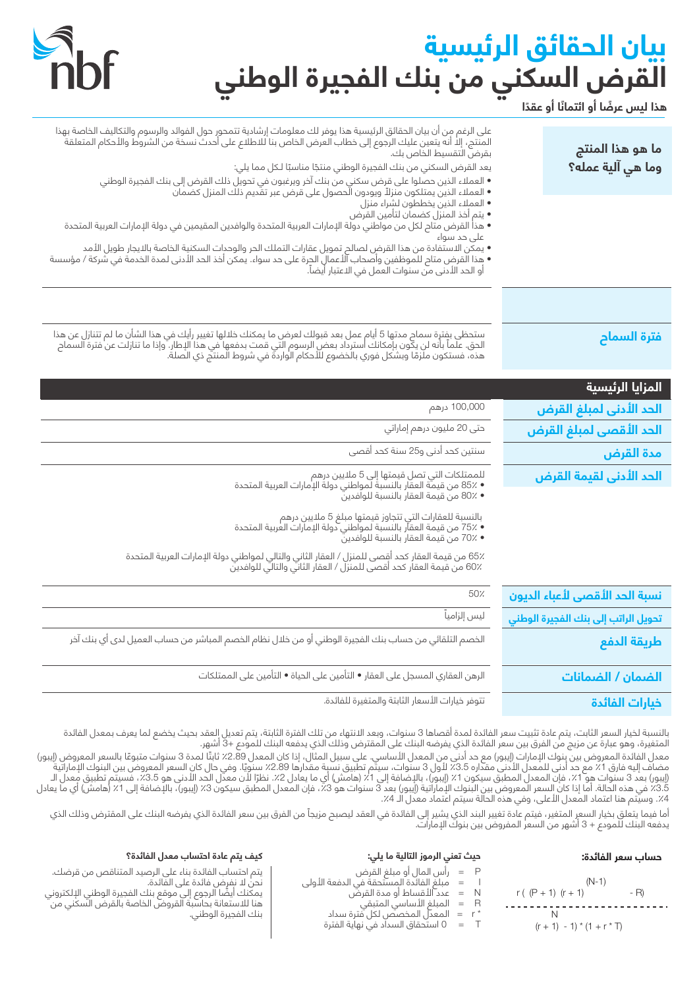# **بيان الحقائق الرئيسية القرض السكني من بنك الفجيرة الوطني**



**ً هذا ليس عرض ً ا أو ائتمان ً ا أو عقدا**

| ما هو هذا المنتج<br>وما هي آلية عمله؟ | على الرغم من أن بيان الحقائق الرئيسية هذا يوفر لك معلومات إرشادية تتمحور حول الفوائد والرسوم والتكاليف الخاصة بهذا<br>المنتج، إلا أنه يتعين عليك الرجوع إلى خطاب العرض الخاص بنا للاطلاع على أحدث نسخة من الشروط والأحكام المتعل<br>بقرضَ التقسيط الخاص بك.<br>يعد القرض السكني من بنك الفجيرة الوطني منتجًا مناسبًا لـكل مما يلي:<br>• العملاء الذين حصلوا على قرض سكني من بنك آخر ويرغبون في تحويل ذلك القرض إلى بنك الفجيرة الوطني<br>• العملاء الذين يمتلكون منزلاً ويودون الحصول على قرض عبر تقديم ذلك المنزل كضمان |
|---------------------------------------|--------------------------------------------------------------------------------------------------------------------------------------------------------------------------------------------------------------------------------------------------------------------------------------------------------------------------------------------------------------------------------------------------------------------------------------------------------------------------------------------------------------------------|
|                                       | • العملاء الذين يخططون لشراء منزل<br>• يتم أخذ المنزل كضمان لتأمين القرض<br>• هذا القرض متاح لكل من مواطني دولة الإمارات العربية المتحدة والوافدين المقيمين في دولة الإمارات العربية المتحدة<br>علی حد سواء<br>• يمكن الاستّفادة من هذا القرض لصالح تمويل عقارات التملك الحر والوحدات السكنية الخاصة بالايجار طويل الأمد<br>• هذا القرض متاح للموظفين وأصحاب الأعمال الجرة على حد سواء. يمكن أخذ الحد الأدنى لمدة الخدمة في شركة / مؤسسة<br>أو الحد الأدنى من سنوات العمل في الاعتبار أَيضاً.                            |
|                                       |                                                                                                                                                                                                                                                                                                                                                                                                                                                                                                                          |
| فترة السماح                           | ستحظى بفترة سماح مدتها 5 أيام عمل بعد قبولك لعرض ما يمكنك خلالها تغيير رأيك في هذا الشأن ما لم تتنازل عن هذا<br>الحق. علماً بأنه لن يكون بإمكانك استرداد بعض الرسوم التي قمت بدفعها في هذا الإطار. وإذا ما تنازلت عن فترة السماح                                                                                                                                                                                                                                                                                         |
| المزايا الرئيسية                      |                                                                                                                                                                                                                                                                                                                                                                                                                                                                                                                          |
| الحد الأدنى لمبلغ القرض               | 100,000 درهم                                                                                                                                                                                                                                                                                                                                                                                                                                                                                                             |
| الحد الأقصى لمبلغ القرض               | حتى 20 مليون درهم إماراتي                                                                                                                                                                                                                                                                                                                                                                                                                                                                                                |
| مدة القرض                             | سنتين كحد أدنى و25 سنة كحد أقصى                                                                                                                                                                                                                                                                                                                                                                                                                                                                                          |
| الحد الأدنى لقيمة القرض               | للممتلكات التي تصل قيمتها إلى 5 ملايين درهم<br>• 85٪ من قيمة العقار بالنسبة لمواطني دولة الإمارات العربية المتحدة<br>• 80٪ من قيمة العقار بالنسبة للوافدين                                                                                                                                                                                                                                                                                                                                                               |
|                                       | بالنسبة للعقارات التي تتجاوز قيمتها مبلغ 5 ملايين درهم<br>• ٪75 من قيمة العقار بالنسبة لمواطني دولة الإمارات العربية المتحدة<br>• ٪70 من قيمة العقار بالنسبة للوافدين                                                                                                                                                                                                                                                                                                                                                    |
|                                       | 65٪ من قيمة العقار كحد أقصى للمنزل / العقار الثاني والتالي لمواطني دولة الإمارات العربية المتحدة<br>60٪ من قيمة العقار كحد أقصى للمنزل / العقار الثاني والتالي للوافدين                                                                                                                                                                                                                                                                                                                                                  |
| نسبة الحد الأقصى لأعباء الديون        | 50%                                                                                                                                                                                                                                                                                                                                                                                                                                                                                                                      |
| تحويل الراتب إلى بنك الفجيرة الوطني   | ليس إلزامياً                                                                                                                                                                                                                                                                                                                                                                                                                                                                                                             |
| طريقة الدفع                           | الخصم التلقائي من حساب بنك الفجيرة الوطني أو من خلال نظام الخصم المباشر من حساب العميل لدى أي بنك آخر                                                                                                                                                                                                                                                                                                                                                                                                                    |
| الضمان / الضمانات                     | الرهن العقاري المسجل على العقار • التأمين على الحياة • التأمين على الممتلكات                                                                                                                                                                                                                                                                                                                                                                                                                                             |

**خيارات الفائدة** تتوفر خيارات الأسعار الثابتة والمتغيرة للفائدة.

بالنسبة لخيار السعر الثابت، يتم عادة تثبيت سعر الفائدة لمدة اقصاها 3 سنوات، وبعد الانتهاء من تلك الفتة، يتم تعديل العقد بحيث يخضع لما يعرف بمعدل الفائدة المتغيرة، وهو عبارة عن مزيج من الفرق بين سعر الفائدة الذي يفرضه البنك على المقترض وذلك الذي يدفعه البنك للمودع 3+ أشهر.

معدل الفائدة المعروض بين بنوك الإمارات (إيبور) مع حد أدنى من المعدل الشاسي. على سبيل المثال، إذا كان المعدل 2.89٪ ثابتًا لمدة 3 سنوات متبوعًا بالسعر المعروض (إيبور) مضاف إليه فارق 1٪ مع حد أدنى للمعدل الأدنى مقداره 3.5٪ لأول 3 سنوات، سيتم تطبيق نسبة مقدارها 2.89٪ سنويًا. وفي حال كان السعر المعروض بين البنوك الإماراتية (إيبور) بعد 3 سنوات هو 1٪، فإن المعدل المطبق سيكون 1٪ (إيبور)، بالإضافة إلى 1٪ (هامش) أي ما يعادل 2٪. نظرًا لأن معدل الحد الأدنى هو 3.5٪، فسيتم تطبيق معدل الــ 3.5٪ في هذه الحالة. أما إذا كان السعر المعروض بين البنوك الإماراتية (إيبور) بعد 3 سنوات هو 3٪ في المعدل المطبق سيكون 3٪ (إيبور)، بالإضافة إلى 1٪ (هامش) أي ما يعادل 4٪. وسيّتم هنا اعتماد المعدل الأعلى، وفي هذه الحالة سيتم اعتماد معدل الـ 4٪.

أما فيما يتعلق بخيار السعر المتغير، فيتم عادة تغيير البند الذي يشير إلى الفائدة في العقد مزيجاً من الفرق بين سعر الفائدة الذي يفرضه البنك على المقترض وذلك الذي يدفعه البنك للمودع + 3 أشهر من السعر المفروض بين بنوك الإمارات.

# **حساب سعر الفائدة:**

 $r ( (P + 1) (r + 1)$  - R)

(N-1)

 $(r + 1) - 1$ <sup>\*</sup>  $(1 + r * T)$ 

N

# **حيث تعني الرموز التالية ما يلي:**

- P = رأس المال أو مبلغ القرض
- I = مبلغ الفائدة المستحقة في الدفعة الأولى
	- N = عدد الأقساط أو مدة القرض
	- R = المبلغ الأساسي المتبقي
	- \* r = المعدل المخصص لكل فترة سداد
	- T = 0 استحقاق السداد في نهاية الفترة

# **كيف يتم عادة احتساب معدل الفائدة؟**

يتم احتساب الفائدة بناء على الرصيد المتناقص من قرضك. نحن لا نفرض فائدة على الفائدة. ً يمكنك أيضا الرجوع إلى موقع بنك الفجيرة الوطني الإلكتروني هنا للاستعانة بحاسبة القروض الخاصة بالقرض السكني من بنك الفجيرة الوطني.